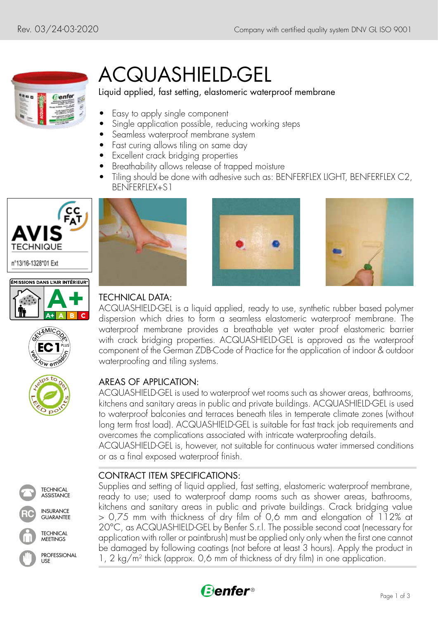

# ACQUASHIELD-GEL

#### Liquid applied, fast setting, elastomeric waterproof membrane

- Easy to apply single component
- Single application possible, reducing working steps
- Seamless waterproof membrane system
- Fast curing allows tiling on same day
- Excellent crack bridging properties
- Breathability allows release of trapped moisture
- Tiling should be done with adhesive such as: BENFERFLEX LIGHT, BENFERFLEX C2, BENFERFLEX+S1









**TECHNICAL ASSISTANCE** 

TECHNICAL **MEETINGS** 

INSURANCE **RC** GUARANTEE

PROFESSIONAL

USE





## TECHNICAL DATA:

ACQUASHIELD-GEL is a liquid applied, ready to use, synthetic rubber based polymer dispersion which dries to form a seamless elastomeric waterproof membrane. The waterproof membrane provides a breathable yet water proof elastomeric barrier with crack bridging properties. ACQUASHIELD-GEL is approved as the waterproof component of the German ZDB-Code of Practice for the application of indoor & outdoor waterproofing and tiling systems.

#### AREAS OF APPLICATION:

ACQUASHIELD-GEL is used to waterproof wet rooms such as shower areas, bathrooms, kitchens and sanitary areas in public and private buildings. ACQUASHIELD-GEL is used to waterproof balconies and terraces beneath tiles in temperate climate zones (without long term frost load). ACQUASHIELD-GEL is suitable for fast track job requirements and overcomes the complications associated with intricate waterproofing details. ACQUASHIELD-GEL is, however, not suitable for continuous water immersed conditions or as a final exposed waterproof finish.

### CONTRACT ITEM SPECIFICATIONS:

Supplies and setting of liquid applied, fast setting, elastomeric waterproof membrane, ready to use; used to waterproof damp rooms such as shower areas, bathrooms, kitchens and sanitary areas in public and private buildings. Crack bridging value > 0,75 mm with thickness of dry film of 0,6 mm and elongation of 112% at 20°C, as ACQUASHIELD-GEL by Benfer S.r.l. The possible second coat (necessary for application with roller or paintbrush) must be applied only only when the first one cannot be damaged by following coatings (not before at least 3 hours). Apply the product in 1, 2 kg/m2 thick (approx. 0,6 mm of thickness of dry film) in one application.

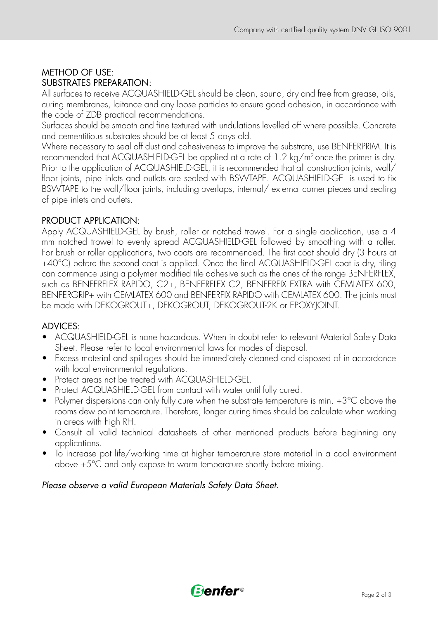#### METHOD OF USE: SUBSTRATES PREPARATION:

All surfaces to receive ACQUASHIELD-GEL should be clean, sound, dry and free from grease, oils, curing membranes, laitance and any loose particles to ensure good adhesion, in accordance with the code of ZDB practical recommendations.

Surfaces should be smooth and fine textured with undulations levelled off where possible. Concrete and cementitious substrates should be at least 5 days old.

Where necessary to seal off dust and cohesiveness to improve the substrate, use BENFERPRIM. It is recommended that ACQUASHIELD-GEL be applied at a rate of 1.2 kg/m2 once the primer is dry. Prior to the application of ACQUASHIELD-GEL, it is recommended that all construction joints, wall/ floor joints, pipe inlets and outlets are sealed with BSWTAPE. ACQUASHIELD-GEL is used to fix BSWTAPE to the wall/floor joints, including overlaps, internal/ external corner pieces and sealing of pipe inlets and outlets.

#### PRODUCT APPLICATION:

Apply ACQUASHIELD-GEL by brush, roller or notched trowel. For a single application, use a 4 mm notched trowel to evenly spread ACQUASHIELD-GEL followed by smoothing with a roller. For brush or roller applications, two coats are recommended. The first coat should dry (3 hours at +40°C) before the second coat is applied. Once the final ACQUASHIELD-GEL coat is dry, tiling can commence using a polymer modified tile adhesive such as the ones of the range BENFERFLEX, such as BENFERFLEX RAPIDO, C2+, BENFERFLEX C2, BENFERFIX EXTRA with CEMLATEX 600, BENFERGRIP+ with CEMLATEX 600 and BENFERFIX RAPIDO with CEMLATEX 600. The joints must be made with DEKOGROUT+, DEKOGROUT, DEKOGROUT-2K or EPOXYJOINT.

#### ADVICES:

- ACQUASHIELD-GEL is none hazardous. When in doubt refer to relevant Material Safety Data Sheet. Please refer to local environmental laws for modes of disposal.
- Excess material and spillages should be immediately cleaned and disposed of in accordance with local environmental regulations.
- Protect areas not be treated with ACQUASHIELD-GEL.
- Protect ACQUASHIELD-GEL from contact with water until fully cured.
- Polymer dispersions can only fully cure when the substrate temperature is min. +3°C above the rooms dew point temperature. Therefore, longer curing times should be calculate when working in areas with high RH.
- Consult all valid technical datasheets of other mentioned products before beginning any applications.
- To increase pot life/working time at higher temperature store material in a cool environment above +5°C and only expose to warm temperature shortly before mixing.

#### *Please observe a valid European Materials Safety Data Sheet.*